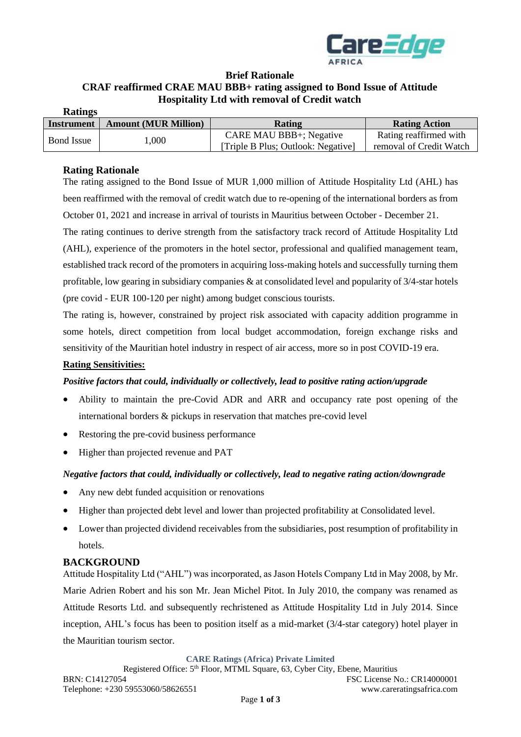

## **Brief Rationale CRAF reaffirmed CRAE MAU BBB+ rating assigned to Bond Issue of Attitude Hospitality Ltd with removal of Credit watch**

| <b>Ratings</b>    |                             |                                    |                         |
|-------------------|-----------------------------|------------------------------------|-------------------------|
| Instrument        | <b>Amount (MUR Million)</b> | Rating                             | <b>Rating Action</b>    |
| <b>Bond Issue</b> | 000,                        | CARE MAU BBB+; Negative            | Rating reaffirmed with  |
|                   |                             | [Triple B Plus; Outlook: Negative] | removal of Credit Watch |

#### **Rating Rationale**

The rating assigned to the Bond Issue of MUR 1,000 million of Attitude Hospitality Ltd (AHL) has been reaffirmed with the removal of credit watch due to re-opening of the international borders as from October 01, 2021 and increase in arrival of tourists in Mauritius between October - December 21.

The rating continues to derive strength from the satisfactory track record of Attitude Hospitality Ltd (AHL), experience of the promoters in the hotel sector, professional and qualified management team, established track record of the promoters in acquiring loss-making hotels and successfully turning them profitable, low gearing in subsidiary companies & at consolidated level and popularity of 3/4-star hotels (pre covid - EUR 100-120 per night) among budget conscious tourists.

The rating is, however, constrained by project risk associated with capacity addition programme in some hotels, direct competition from local budget accommodation, foreign exchange risks and sensitivity of the Mauritian hotel industry in respect of air access, more so in post COVID-19 era.

#### **Rating Sensitivities:**

## *Positive factors that could, individually or collectively, lead to positive rating action/upgrade*

- Ability to maintain the pre-Covid ADR and ARR and occupancy rate post opening of the international borders & pickups in reservation that matches pre-covid level
- Restoring the pre-covid business performance
- Higher than projected revenue and PAT

## *Negative factors that could, individually or collectively, lead to negative rating action/downgrade*

- Any new debt funded acquisition or renovations
- Higher than projected debt level and lower than projected profitability at Consolidated level.
- Lower than projected dividend receivables from the subsidiaries, post resumption of profitability in hotels.

## **BACKGROUND**

Attitude Hospitality Ltd ("AHL") was incorporated, as Jason Hotels Company Ltd in May 2008, by Mr. Marie Adrien Robert and his son Mr. Jean Michel Pitot. In July 2010, the company was renamed as Attitude Resorts Ltd. and subsequently rechristened as Attitude Hospitality Ltd in July 2014. Since inception, AHL's focus has been to position itself as a mid-market (3/4-star category) hotel player in the Mauritian tourism sector.

**CARE Ratings (Africa) Private Limited**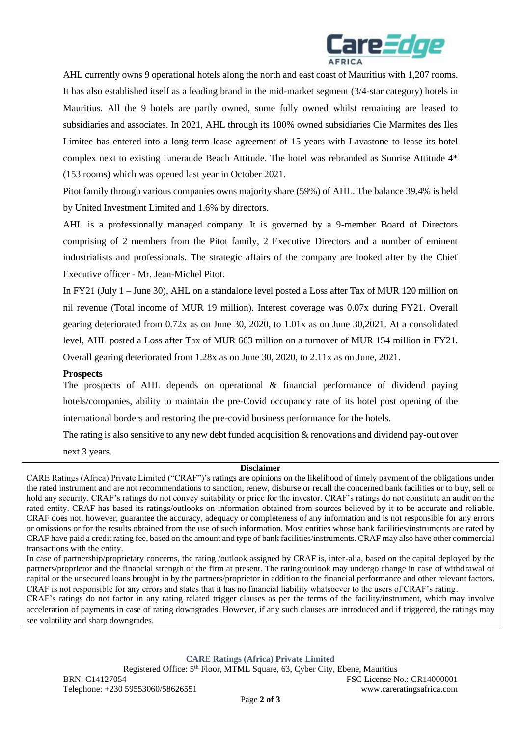

AHL currently owns 9 operational hotels along the north and east coast of Mauritius with 1,207 rooms. It has also established itself as a leading brand in the mid-market segment (3/4-star category) hotels in Mauritius. All the 9 hotels are partly owned, some fully owned whilst remaining are leased to subsidiaries and associates. In 2021, AHL through its 100% owned subsidiaries Cie Marmites des Iles Limitee has entered into a long-term lease agreement of 15 years with Lavastone to lease its hotel complex next to existing Emeraude Beach Attitude. The hotel was rebranded as Sunrise Attitude 4\* (153 rooms) which was opened last year in October 2021.

Pitot family through various companies owns majority share (59%) of AHL. The balance 39.4% is held by United Investment Limited and 1.6% by directors.

AHL is a professionally managed company. It is governed by a 9-member Board of Directors comprising of 2 members from the Pitot family, 2 Executive Directors and a number of eminent industrialists and professionals. The strategic affairs of the company are looked after by the Chief Executive officer - Mr. Jean-Michel Pitot.

In FY21 (July 1 – June 30), AHL on a standalone level posted a Loss after Tax of MUR 120 million on nil revenue (Total income of MUR 19 million). Interest coverage was 0.07x during FY21. Overall gearing deteriorated from 0.72x as on June 30, 2020, to 1.01x as on June 30,2021. At a consolidated level, AHL posted a Loss after Tax of MUR 663 million on a turnover of MUR 154 million in FY21. Overall gearing deteriorated from 1.28x as on June 30, 2020, to 2.11x as on June, 2021.

#### **Prospects**

The prospects of AHL depends on operational & financial performance of dividend paying hotels/companies, ability to maintain the pre-Covid occupancy rate of its hotel post opening of the international borders and restoring the pre-covid business performance for the hotels.

The rating is also sensitive to any new debt funded acquisition & renovations and dividend pay-out over

next 3 years.

#### **Disclaimer**

CARE Ratings (Africa) Private Limited ("CRAF")'s ratings are opinions on the likelihood of timely payment of the obligations under the rated instrument and are not recommendations to sanction, renew, disburse or recall the concerned bank facilities or to buy, sell or hold any security. CRAF's ratings do not convey suitability or price for the investor. CRAF's ratings do not constitute an audit on the rated entity. CRAF has based its ratings/outlooks on information obtained from sources believed by it to be accurate and reliable. CRAF does not, however, guarantee the accuracy, adequacy or completeness of any information and is not responsible for any errors or omissions or for the results obtained from the use of such information. Most entities whose bank facilities/instruments are rated by CRAF have paid a credit rating fee, based on the amount and type of bank facilities/instruments. CRAF may also have other commercial transactions with the entity.

In case of partnership/proprietary concerns, the rating /outlook assigned by CRAF is, inter-alia, based on the capital deployed by the partners/proprietor and the financial strength of the firm at present. The rating/outlook may undergo change in case of withdrawal of capital or the unsecured loans brought in by the partners/proprietor in addition to the financial performance and other relevant factors. CRAF is not responsible for any errors and states that it has no financial liability whatsoever to the users of CRAF's rating.

CRAF's ratings do not factor in any rating related trigger clauses as per the terms of the facility/instrument, which may involve acceleration of payments in case of rating downgrades. However, if any such clauses are introduced and if triggered, the ratings may see volatility and sharp downgrades.

**CARE Ratings (Africa) Private Limited**

Registered Office: 5<sup>th</sup> Floor, MTML Square, 63, Cyber City, Ebene, Mauritius